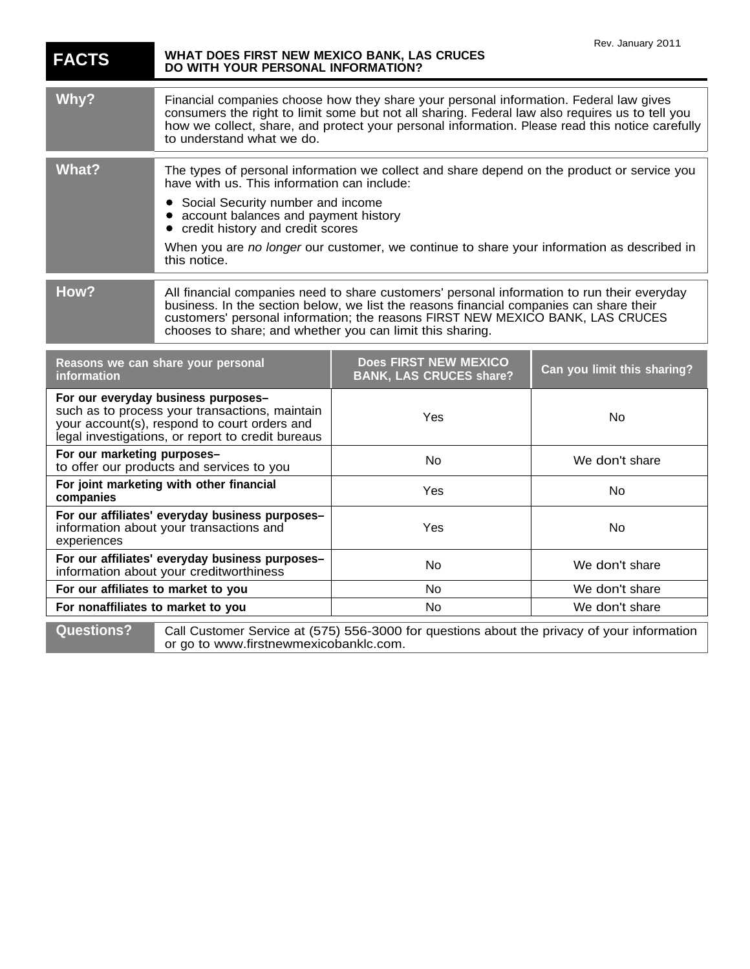| <b>FACTS</b>                                                                                                                                                                               | WHAT DOES FIRST NEW MEXICO BANK, LAS CRUCES<br>DO WITH YOUR PERSONAL INFORMATION?                                                                                                                                                                                                                                                     |                                                                                             | Rev. January 2011           |
|--------------------------------------------------------------------------------------------------------------------------------------------------------------------------------------------|---------------------------------------------------------------------------------------------------------------------------------------------------------------------------------------------------------------------------------------------------------------------------------------------------------------------------------------|---------------------------------------------------------------------------------------------|-----------------------------|
| Why?                                                                                                                                                                                       | Financial companies choose how they share your personal information. Federal law gives<br>consumers the right to limit some but not all sharing. Federal law also requires us to tell you<br>how we collect, share, and protect your personal information. Please read this notice carefully<br>to understand what we do.             |                                                                                             |                             |
| <b>What?</b>                                                                                                                                                                               | The types of personal information we collect and share depend on the product or service you<br>have with us. This information can include:                                                                                                                                                                                            |                                                                                             |                             |
|                                                                                                                                                                                            | Social Security number and income<br>account balances and payment history<br>credit history and credit scores                                                                                                                                                                                                                         |                                                                                             |                             |
|                                                                                                                                                                                            | this notice.                                                                                                                                                                                                                                                                                                                          | When you are no longer our customer, we continue to share your information as described in  |                             |
| How?                                                                                                                                                                                       | All financial companies need to share customers' personal information to run their everyday<br>business. In the section below, we list the reasons financial companies can share their<br>customers' personal information; the reasons FIRST NEW MEXICO BANK, LAS CRUCES<br>chooses to share; and whether you can limit this sharing. |                                                                                             |                             |
| information                                                                                                                                                                                | Reasons we can share your personal                                                                                                                                                                                                                                                                                                    | Does FIRST NEW MEXICO<br><b>BANK, LAS CRUCES share?</b>                                     | Can you limit this sharing? |
| For our everyday business purposes-<br>such as to process your transactions, maintain<br>your account(s), respond to court orders and<br>legal investigations, or report to credit bureaus |                                                                                                                                                                                                                                                                                                                                       | Yes                                                                                         | No                          |
| For our marketing purposes-<br>to offer our products and services to you                                                                                                                   |                                                                                                                                                                                                                                                                                                                                       | No                                                                                          | We don't share              |
| For joint marketing with other financial<br>companies                                                                                                                                      |                                                                                                                                                                                                                                                                                                                                       | Yes                                                                                         | No                          |
| For our affiliates' everyday business purposes-<br>information about your transactions and<br>experiences                                                                                  |                                                                                                                                                                                                                                                                                                                                       | Yes                                                                                         | No                          |
| For our affiliates' everyday business purposes-<br>information about your creditworthiness                                                                                                 |                                                                                                                                                                                                                                                                                                                                       | No                                                                                          | We don't share              |
| For our affiliates to market to you                                                                                                                                                        |                                                                                                                                                                                                                                                                                                                                       | No                                                                                          | We don't share              |
| For nonaffiliates to market to you                                                                                                                                                         |                                                                                                                                                                                                                                                                                                                                       | <b>No</b>                                                                                   | We don't share              |
| <b>Questions?</b>                                                                                                                                                                          | or go to www.firstnewmexicobanklc.com.                                                                                                                                                                                                                                                                                                | Call Customer Service at (575) 556-3000 for questions about the privacy of your information |                             |